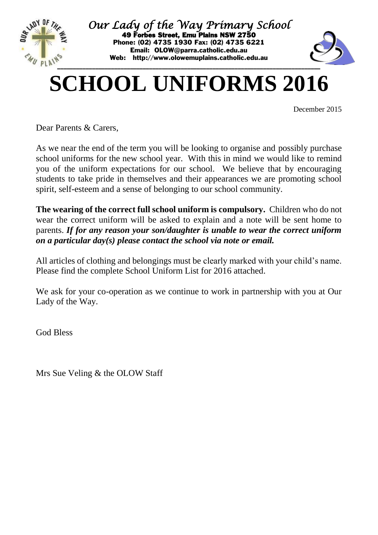

*Our Lady of the Way Primary School*  49 Forbes Street, Emu Plains NSW 2750 Phone: (02) 4735 1930 Fax: (02) 4735 6221 Email: [OLOW@parra.catholic.edu.au](mailto:OLOW@parra.catholic.edu.au) Web: [http://www.olowemuplains.catholic.edu.au](http://www.hfgranville.catholic.edu.au/)



## **SCHOOL UNIFORMS 2016**

December 2015

Dear Parents & Carers,

As we near the end of the term you will be looking to organise and possibly purchase school uniforms for the new school year. With this in mind we would like to remind you of the uniform expectations for our school. We believe that by encouraging students to take pride in themselves and their appearances we are promoting school spirit, self-esteem and a sense of belonging to our school community.

**The wearing of the correct full school uniform is compulsory.** Children who do not wear the correct uniform will be asked to explain and a note will be sent home to parents. *If for any reason your son/daughter is unable to wear the correct uniform on a particular day(s) please contact the school via note or email.*

All articles of clothing and belongings must be clearly marked with your child's name. Please find the complete School Uniform List for 2016 attached.

We ask for your co-operation as we continue to work in partnership with you at Our Lady of the Way.

God Bless

Mrs Sue Veling & the OLOW Staff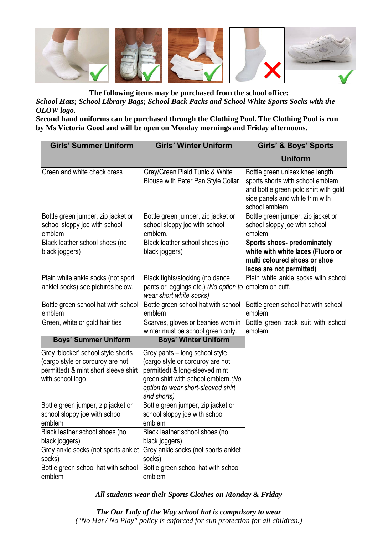

**The following items may be purchased from the school office:** *School Hats; School Library Bags; School Back Packs and School White Sports Socks with the OLOW logo.* 

**Second hand uniforms can be purchased through the Clothing Pool. The Clothing Pool is run by Ms Victoria Good and will be open on Monday mornings and Friday afternoons.**

| <b>Girls' Summer Uniform</b>                                                                                                       | <b>Girls' Winter Uniform</b>                                                                                                                                                                     | <b>Girls' &amp; Boys' Sports</b>                                                                                                                                 |
|------------------------------------------------------------------------------------------------------------------------------------|--------------------------------------------------------------------------------------------------------------------------------------------------------------------------------------------------|------------------------------------------------------------------------------------------------------------------------------------------------------------------|
|                                                                                                                                    |                                                                                                                                                                                                  | <b>Uniform</b>                                                                                                                                                   |
| Green and white check dress                                                                                                        | Grey/Green Plaid Tunic & White<br>Blouse with Peter Pan Style Collar                                                                                                                             | Bottle green unisex knee length<br>sports shorts with school emblem<br>and bottle green polo shirt with gold<br>side panels and white trim with<br>school emblem |
| Bottle green jumper, zip jacket or<br>school sloppy joe with school<br>emblem                                                      | Bottle green jumper, zip jacket or<br>school sloppy joe with school<br>emblem.                                                                                                                   | Bottle green jumper, zip jacket or<br>school sloppy joe with school<br>emblem                                                                                    |
| Black leather school shoes (no<br>black joggers)                                                                                   | Black leather school shoes (no<br>black joggers)                                                                                                                                                 | Sports shoes- predominately<br>white with white laces (Fluoro or<br>multi coloured shoes or shoe<br>laces are not permitted)                                     |
| Plain white ankle socks (not sport<br>anklet socks) see pictures below.                                                            | Black tights/stocking (no dance<br>pants or leggings etc.) (No option to emblem on cuff.<br>wear short white socks)                                                                              | Plain white ankle socks with school                                                                                                                              |
| Bottle green school hat with school<br>emblem                                                                                      | Bottle green school hat with school<br>emblem                                                                                                                                                    | Bottle green school hat with school<br>emblem                                                                                                                    |
| Green, white or gold hair ties                                                                                                     | Scarves, gloves or beanies worn in<br>winter must be school green only.                                                                                                                          | Bottle green track suit with school<br>emblem                                                                                                                    |
| <b>Boys' Summer Uniform</b>                                                                                                        | <b>Boys' Winter Uniform</b>                                                                                                                                                                      |                                                                                                                                                                  |
| Grey 'blocker' school style shorts<br>(cargo style or corduroy are not<br>permitted) & mint short sleeve shirt<br>with school logo | Grey pants - long school style<br>(cargo style or corduroy are not<br>permitted) & long-sleeved mint<br>green shirt with school emblem. (No<br>option to wear short-sleeved shirt<br>and shorts) |                                                                                                                                                                  |
| Bottle green jumper, zip jacket or<br>school sloppy joe with school<br>emblem                                                      | Bottle green jumper, zip jacket or<br>school sloppy joe with school<br>emblem                                                                                                                    |                                                                                                                                                                  |
| Black leather school shoes (no<br>black joggers)                                                                                   | Black leather school shoes (no<br>black joggers)                                                                                                                                                 |                                                                                                                                                                  |
| Grey ankle socks (not sports anklet<br>socks)                                                                                      | Grey ankle socks (not sports anklet<br>socks)                                                                                                                                                    |                                                                                                                                                                  |
| Bottle green school hat with school<br>emblem                                                                                      | Bottle green school hat with school<br>emblem                                                                                                                                                    |                                                                                                                                                                  |

## *All students wear their Sports Clothes on Monday & Friday*

*The Our Lady of the Way school hat is compulsory to wear ("No Hat / No Play" policy is enforced for sun protection for all children.)*